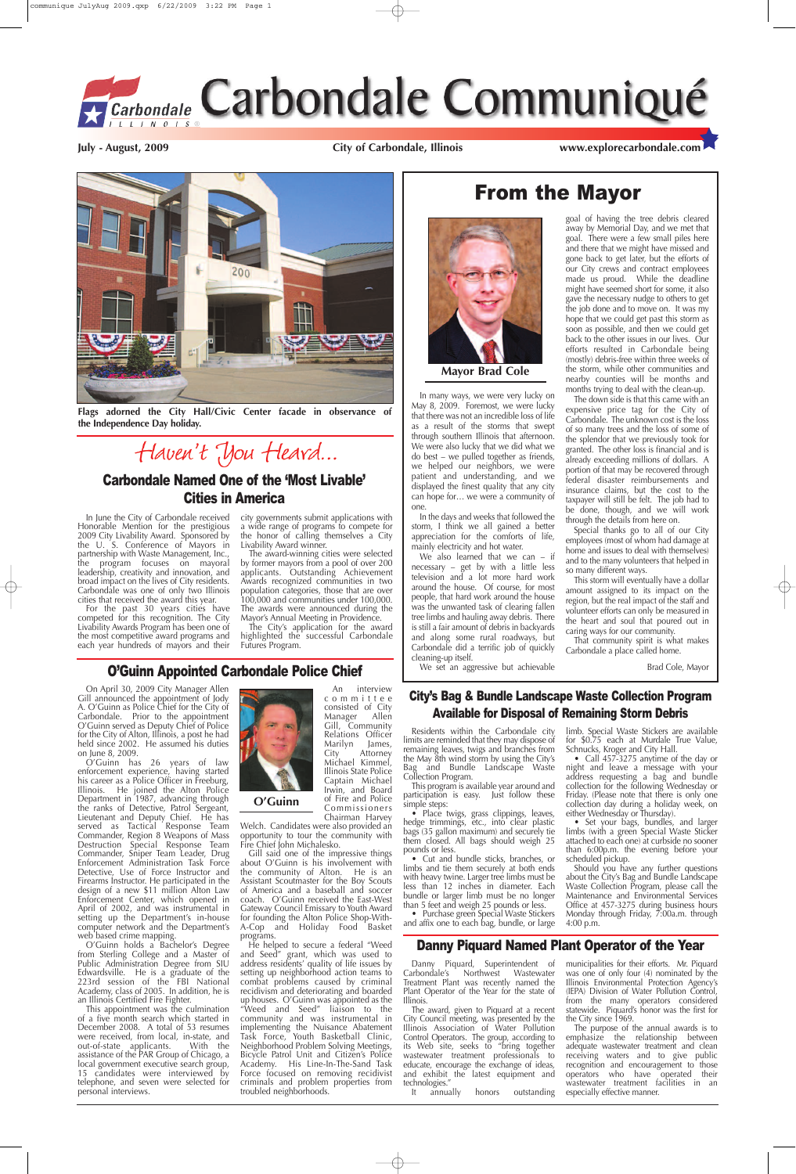## From the Mayor



For the past 30 years cities have competed for this recognition. The City Livability Awards Program has been one of the most competitive award programs and each year hundreds of mayors and their

In June the City of Carbondale received Honorable Mention for the prestigious 2009 City Livability Award. Sponsored by the U. S. Conference of Mayors in partnership with Waste Management, Inc., the program focuses on mayoral leadership, creativity and innovation, and broad impact on the lives of City residents. Carbondale was one of only two Illinois cities that received the award this year.

The award-winning cities were selected by former mayors from a pool of over 200 applicants. Outstanding Achievement Awards recognized communities in two population categories, those that are over 100,000 and communities under 100,000. The awards were announced during the Mavor's Annual Meeting in Providence.

The City's application for the award highlighted the successful Carbondale Futures Program.

city governments submit applications with a wide range of programs to compete for the honor of calling themselves a City Livability Award winner.

We also learned that we can  $-$  if necessary – get by with a little less television and a lot more hard work around the house. Of course, for most people, that hard work around the house was the unwanted task of clearing fallen tree limbs and hauling away debris. There is still a fair amount of debris in backyards and along some rural roadways, but Carbondale did a terrific job of quickly cleaning-up itself.

In many ways, we were very lucky on May 8, 2009. Foremost, we were lucky that there was not an incredible loss of life as a result of the storms that swept through southern Illinois that afternoon. We were also lucky that we did what we do best – we pulled together as friends, we helped our neighbors, we were patient and understanding, and we displayed the finest quality that any city can hope for… we were a community of one.

In the days and weeks that followed the storm, I think we all gained a better appreciation for the comforts of life, mainly electricity and hot water.

We set an aggressive but achievable

goal of having the tree debris cleared

hedge trimmings, etc., into clear plastic bags (35 gallon maximum) and securely tie them closed. All bags should weigh 25 pounds or less.

• Purchase green Special Waste Stickers and affix one to each bag, bundle, or large

Set your bags, bundles, and lar limbs (with a green Special Waste Sticker attached to each one) at curbside no sooner than 6:00p.m. the evening before your scheduled pickup.

away by Memorial Day, and we met that goal. There were a few small piles here and there that we might have missed and gone back to get later, but the efforts of our City crews and contract employees made us proud. While the deadline might have seemed short for some, it also gave the necessary nudge to others to get the job done and to move on. It was my hope that we could get past this storm as soon as possible, and then we could get back to the other issues in our lives. Our efforts resulted in Carbondale being (mostly) debris-free within three weeks of the storm, while other communities and nearby counties will be months and months trying to deal with the clean-up.

• Call 457-3275 anytime of the day or night and leave a message with your address requesting a bag and bundle collection for the following Wednesday or Friday. (Please note that there is only one collection day during a holiday week, on either Wednesday or Thursday).

The down side is that this came with an expensive price tag for the City of Carbondale. The unknown cost is the loss of so many trees and the loss of some of the splendor that we previously took for granted. The other loss is financial and is already exceeding millions of dollars. A portion of that may be recovered through federal disaster reimbursements and insurance claims, but the cost to the taxpayer will still be felt. The job had to be done, though, and we will work through the details from here on.

Special thanks go to all of our City employees (most of whom had damage at home and issues to deal with themselves) and to the many volunteers that helped in so many different ways.

This storm will eventually have a dollar amount assigned to its impact on the region, but the real impact of the staff and volunteer efforts can only be measured in the heart and soul that poured out in caring ways for our community.

That community spirit is what makes Carbondale a place called home.

Brad Cole, Mayor

**Mayor Brad Cole**

### City's Bag & Bundle Landscape Waste Collection Program Available for Disposal of Remaining Storm Debris

Residents within the Carbondale city limits are reminded that they may dispose of remaining leaves, twigs and branches from the May 8th wind storm by using the City's Bag and Bundle Landscape Waste Collection Program.

This program is available year around and participation is easy. Just follow these simple steps:

• Place twigs, grass clippings, leaves,

The award, given to Piquard at a recent City Council meeting, was presented by the Illinois Association of Water Pollution Control Operators. The group, according to its Web site, seeks to "bring together wastewater treatment professionals to educate, encourage the exchange of ideas, and exhibit the latest equipment and technologies."<br>It annually

• Cut and bundle sticks, branches, or limbs and tie them securely at both ends with heavy twine. Larger tree limbs must be less than 12 inches in diameter. Each bundle or larger limb must be no longer than 5 feet and weigh 25 pounds or less.

> municipalities for their efforts. Mr. Piquard was one of only four (4) nominated by the Illinois Environmental Protection Agency's (IEPA) Division of Water Pollution Control, from the many operators considered statewide. Piquard's honor was the first for the City since 1969.

> limb. Special Waste Stickers are available for \$0.75 each at Murdale True Value, Schnucks, Kroger and City Hall.

> Should you have any further questions about the City's Bag and Bundle Landscape Waste Collection Program, please call the Maintenance and Environmental Services Office at 457-3275 during business hours Monday through Friday, 7:00a.m. through 4:00 p.m.

### O'Guinn Appointed Carbondale Police Chief

On April 30, 2009 City Manager Allen Gill announced the appointment of Jody A. O'Guinn as Police Chief for the City of Carbondale. Prior to the appointment O'Guinn served as Deputy Chief of Police for the City of Alton, Illinois, a post he had held since 2002. He assumed his duties on June 8, 2009.

O'Guinn has 26 years of law enforcement experience, having started his career as a Police Officer in Freeburg, Illinois. He joined the Alton Police Department in 1987, advancing through the ranks of Detective, Patrol Sergeant, Lieutenant and Deputy Chief. He has served as Tactical Response Team Commander, Region 8 Weapons of Mass Destruction Special Response Team Commander, Sniper Team Leader, Drug Enforcement Administration Task Force Detective, Use of Force Instructor and Firearms Instructor. He participated in the design of a new \$11 million Alton Law Enforcement Center, which opened in April of 2002, and was instrumental in setting up the Department's in-house computer network and the Department's web based crime mapping. O'Guinn holds a Bachelor's Degree from Sterling College and a Master of Public Administration Degree from SIU Edwardsville. He is a graduate of the 223rd session of the FBI National Academy, class of 2005. In addition, he is an Illinois Certified Fire Fighter. This appointment was the culmination of a five month search which started in December 2008. A total of 53 resumes were received, from local, in-state, and out-of-state applicants. With the assistance of the PAR Group of Chicago, a local government executive search group, 15 candidates were interviewed by telephone, and seven were selected for personal interviews.

An interview committee consisted of City Manager Allen Gill, Community Relations Officer<br>Marilyn James, City Attorney Michael Kimmel, Illinois State Police Captain Michael Irwin, and Board of Fire and Police Commissioners Chairman Harvey

Welch. Candidates were also provided an opportunity to tour the community with Fire Chief John Michalesko.

Gill said one of the impressive things about O'Guinn is his involvement with the community of Alton. He is an Assistant Scoutmaster for the Boy Scouts of America and a baseball and soccer coach. O'Guinn received the East-West Gateway Council Emissary to Youth Award for founding the Alton Police Shop-With-A-Cop and Holiday Food Basket programs.



He helped to secure a federal "Weed and Seed" grant, which was used to address residents' quality of life issues by setting up neighborhood action teams to combat problems caused by criminal recidivism and deteriorating and boarded up houses. O'Guinn was appointed as the "Weed and Seed" liaison to the community and was instrumental in implementing the Nuisance Abatement Task Force, Youth Basketball Clinic, Neighborhood Problem Solving Meetings, Bicycle Patrol Unit and Citizen's Police Academy. His Line-In-The-Sand Task Force focused on removing recidivist criminals and problem properties from troubled neighborhoods.

**July - August, 2009 City of Carbondale, Illinois www.explorecarbondale.com**





## Carbondale Named One of the 'Most Livable' Cities in America

**Flags adorned the City Hall/Civic Center facade in observance of the Independence Day holiday.**

Haven't You Heard...

### Danny Piquard Named Plant Operator of the Year

Danny Piquard, Superintendent of Carbondale's Northwest Wastewater Treatment Plant was recently named the Plant Operator of the Year for the state of Illinois.

It annually honors outstanding

The purpose of the annual awards is to emphasize the relationship between adequate wastewater treatment and clean receiving waters and to give public recognition and encouragement to those operators who have operated their wastewater treatment facilities in an especially effective manner.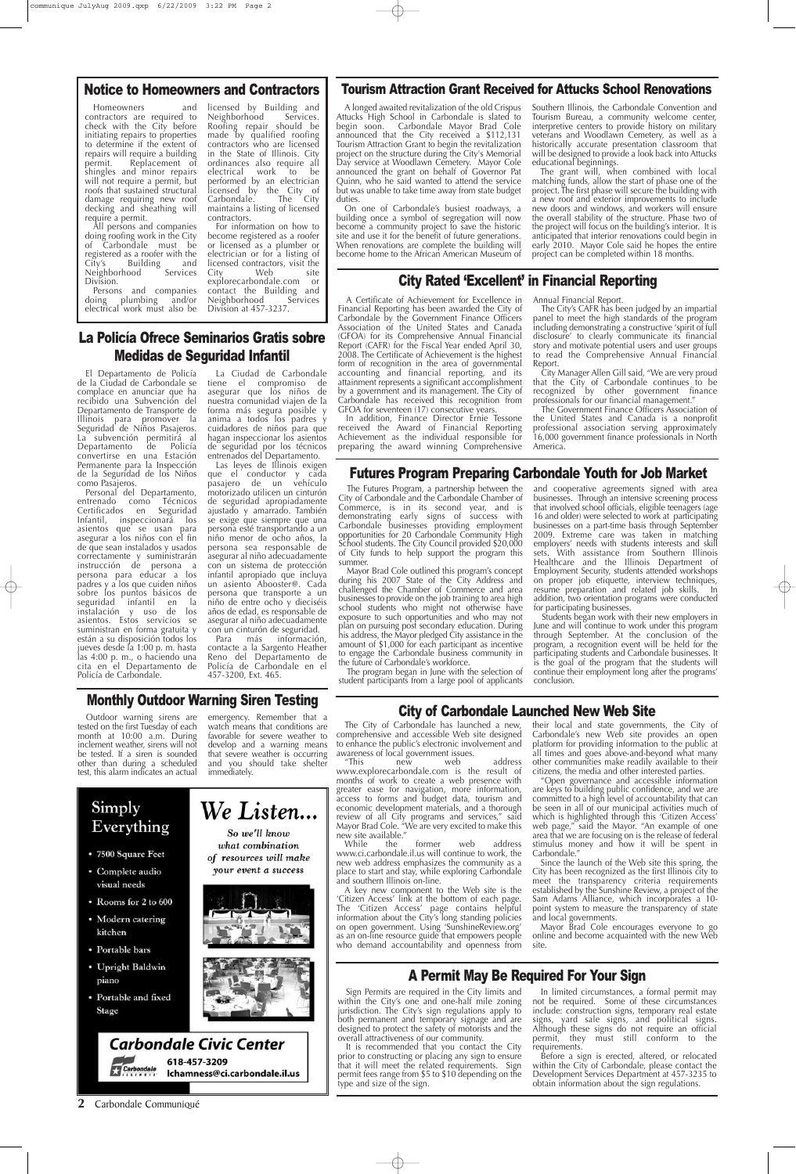### **2** Carbondale Communiqué

### Notice to Homeowners and Contractors

Homeowners and contractors are required to check with the City before initiating repairs to properties to determine if the extent of repairs will require a building permit. Replacement of shingles and minor repairs will not require a permit, but roofs that sustained structural damage requiring new roof decking and sheathing will require a permit.

licensed by Building and<br>Neighborhood Services. Neighborhood Roofing repair should be made by qualified roofing contractors who are licensed in the State of Illinois. City ordinances also require all electrical work performed by an electrician licensed by the City of Carbondale. The City maintains a listing of licensed contractors.

For information on how to become registered as a roofer or licensed as a plumber or electrician or for a listing of licensed contractors, visit the<br>City Web site City Web site explorecarbondale.com or contact the Building and Neighborhood

All persons and companies doing roofing work in the City of Carbondale must be registered as a roofer with the City's Building and<br>Neighborhood Services Neighborhood Division.

Persons and companies doing plumbing and/or electrical work must also be

Division at 457-3237.

### City Rated 'Excellent' in Financial Reporting

A Certificate of Achievement for Excellence in Financial Reporting has been awarded the City of Carbondale by the Government Finance Officers Association of the United States and Canada (GFOA) for its Comprehensive Annual Financial Report (CAFR) for the Fiscal Year ended April 30, 2008. The Certificate of Achievement is the highest form of recognition in the area of governmental accounting and financial reporting, and its attainment represents a significant accomplishment by a government and its management. The City of Carbondale has received this recognition from GFOA for seventeen (17) consecutive years.

In addition, Finance Director Ernie Tessone received the Award of Financial Reporting Achievement as the individual responsible for preparing the award winning Comprehensive

### Annual Financial Report.

The City's CAFR has been judged by an impartial panel to meet the high standards of the program including demonstrating a constructive 'spirit of full disclosure' to clearly communicate its financial story and motivate potential users and user groups to read the Comprehensive Annual Financial Report.

City Manager Allen Gill said, "We are very proud that the City of Carbondale continues to be recognized by other government finance professionals for our financial management."

The Government Finance Officers Association of the United States and Canada is a nonprofit professional association serving approximately 16,000 government finance professionals in North America.

## La Policía Ofrece Seminarios Gratis sobre Medidas de Seguridad Infantil

El Departamento de Policía de la Ciudad de Carbondale se complace en anunciar que ha recibido una Subvención del Departamento de Transporte de Illinois para promover la Seguridad de Niños Pasajeros. La subvención permitirá al Departamento de Policía convertirse en una Estación Permanente para la Inspección de la Seguridad de los Niños

Personal del Departamento, entrenado como Técnicos Certificados en Seguridad Infantil, inspeccionará los asientos que se usan para asegurar a los niños con el fin de que sean instalados y usados correctamente y suministrarán instrucción de persona a persona para educar a los padres y a los que cuiden niños sobre los puntos básicos de seguridad infantil en la instalación y uso de los asientos. Estos servicios se suministran en forma gratuita y están a su disposición todos los jueves desde la 1:00 p. m. hasta las 4:00 p. m., o haciendo una cita en el Departamento de Policía de Carbondale.

La Ciudad de Carbondale tiene el compromiso de asegurar que los niños de nuestra comunidad viajen de la forma más segura posible y anima a todos los padres y cuidadores de niños para que hagan inspeccionar los asientos de seguridad por los técnicos entrenados del Departamento.

Las leyes de Illinois exigen que el conductor y cada pasajero de un vehículo motorizado utilicen un cinturón de seguridad apropiadamente ajustado y amarrado. También se exige que siempre que una persona esté transportando a un niño menor de ocho años, la persona sea responsable de asegurar al niño adecuadamente con un sistema de protección infantil apropiado que incluya un asiento Abooster@. Cada persona que transporte a un niño de entre ocho y dieciséis años de edad, es responsable de asegurar al niño adecuadamente con un cinturón de seguridad.

Para más información, contacte a la Sargento Heather Reno del Departamento de Policía de Carbondale en el 457-3200, Ext. 465.

### A longed awaited revitalization of the old Crispus Attucks High School in Carbondale is slated to begin soon. Carbondale Mayor Brad Cole announced that the City received a \$112,131 Tourism Attraction Grant to begin the revitalization project on the structure during the City's Memorial Day service at Woodlawn Cemetery. Mayor Cole announced the grant on behalf of Governor Pat Quinn, who he said wanted to attend the service but was unable to take time away from state budget duties.

On one of Carbondale's busiest roadways, a building once a symbol of segregation will now become a community project to save the historic site and use it for the benefit of future generations. When renovations are complete the building will become home to the African American Museum of Southern Illinois, the Carbondale Convention and Tourism Bureau, a community welcome center, interpretive centers to provide history on military veterans and Woodlawn Cemetery, as well as a historically accurate presentation classroom that will be designed to provide a look back into Attucks educational beginnings.

The grant will, when combined with local matching funds, allow the start of phase one of the project. The first phase will secure the building with a new roof and exterior improvements to include new doors and windows, and workers will ensure the overall stability of the structure. Phase two of the project will focus on the building's interior. It is anticipated that interior renovations could begin in early 2010. Mayor Cole said he hopes the entire project can be completed within 18 months.

### Tourism Attraction Grant Received for Attucks School Renovations

## City of Carbondale Launched New Web Site

The City of Carbondale has launched a new, comprehensive and accessible Web site designed to enhance the public's electronic involvement and awareness of local government issues.

"This new web address www.explorecarbondale.com is the result of months of work to create a web presence with greater ease for navigation, more information, access to forms and budget data, tourism and economic development materials, and a thorough review of all City programs and services," said Mayor Brad Cole. "We are very excited to make this new site available." While the former web address www.ci.carbondale.il.us will continue to work, the new web address emphasizes the community as a place to start and stay, while exploring Carbondale and southern Illinois on-line. A key new component to the Web site is the 'Citizen Access' link at the bottom of each page. The 'Citizen Access' page contains helpful information about the City's long standing policies on open government. Using 'SunshineReview.org' as an on-line resource guide that empowers people who demand accountability and openness from

their local and state governments, the City of Carbondale's new Web site provides an open platform for providing information to the public at all times and goes above-and-beyond what many other communities make readily available to their citizens, the media and other interested parties.

"Open governance and accessible information are keys to building public confidence, and we are committed to a high level of accountability that can be seen in all of our municipal activities much of which is highlighted through this 'Citizen Access' web page," said the Mayor. "An example of one area that we are focusing on is the release of federal stimulus money and how it will be spent in Carbondale." Since the launch of the Web site this spring, the City has been recognized as the first Illinois city to meet the transparency criteria requirements established by the Sunshine Review, a project of the Sam Adams Alliance, which incorporates a 10 point system to measure the transparency of state and local governments. Mayor Brad Cole encourages everyone to go online and become acquainted with the new Web site.

- 7500 Square Feet
- Complete audio visual needs
- Rooms for 2 to 600
- Modern catering kitchen
- Portable bars
- Upright Baldwin piano
- Portable and fixed **Stage**





### Futures Program Preparing Carbondale Youth for Job Market

The Futures Program, a partnership between the City of Carbondale and the Carbondale Chamber of Commerce, is in its second year, and is demonstrating early signs of success with Carbondale businesses providing employment opportunities for 20 Carbondale Community High School students. The City Council provided \$20,000 of City funds to help support the program this summer.

Mayor Brad Cole outlined this program's concept during his 2007 State of the City Address and challenged the Chamber of Commerce and area businesses to provide on the job training to area high school students who might not otherwise have exposure to such opportunities and who may not plan on pursuing post secondary education. During his address, the Mayor pledged City assistance in the amount of \$1,000 for each participant as incentive to engage the Carbondale business community in the future of Carbondale's workforce.

The program began in June with the selection of student participants from a large pool of applicants

and cooperative agreements signed with area businesses. Through an intensive screening process that involved school officials, eligible teenagers (age 16 and older) were selected to work at participating businesses on a part-time basis through September 2009. Extreme care was taken in matching employers' needs with students interests and skill sets. With assistance from Southern Illinois Healthcare and the Illinois Department of Employment Security, students attended workshops on proper job etiquette, interview techniques, resume preparation and related job skills. In addition, two orientation programs were conducted for participating businesses.

Students began work with their new employers in June and will continue to work under this program through September. At the conclusion of the program, a recognition event will be held for the participating students and Carbondale businesses. It is the goal of the program that the students will continue their employment long after the programs' conclusion.

Sign Permits are required in the City limits and within the City's one and one-half mile zoning jurisdiction. The City's sign regulations apply to both permanent and temporary signage and are designed to protect the safety of motorists and the overall attractiveness of our community.

It is recommended that you contact the City prior to constructing or placing any sign to ensure that it will meet the related requirements. Sign permit fees range from \$5 to \$10 depending on the type and size of the sign.

In limited circumstances, a formal permit may not be required. Some of these circumstances include: construction signs, temporary real estate signs, yard sale signs, and political signs. Although these signs do not require an official permit, they must still conform to the requirements.

Before a sign is erected, altered, or relocated within the City of Carbondale, please contact the Development Services Department at 457-3235 to obtain information about the sign regulations.

## A Permit May Be Required For Your Sign

### Monthly Outdoor Warning Siren Testing

Outdoor warning sirens are tested on the first Tuesday of each month at 10:00 a.m. During inclement weather, sirens will not be tested. If a siren is sounded other than during a scheduled test, this alarm indicates an actual

emergency. Remember that a watch means that conditions are favorable for severe weather to develop and a warning means that severe weather is occurring and you should take shelter immediately.

what combination

of resources will make your event a success

### Simply We Listen... Everything So we'll know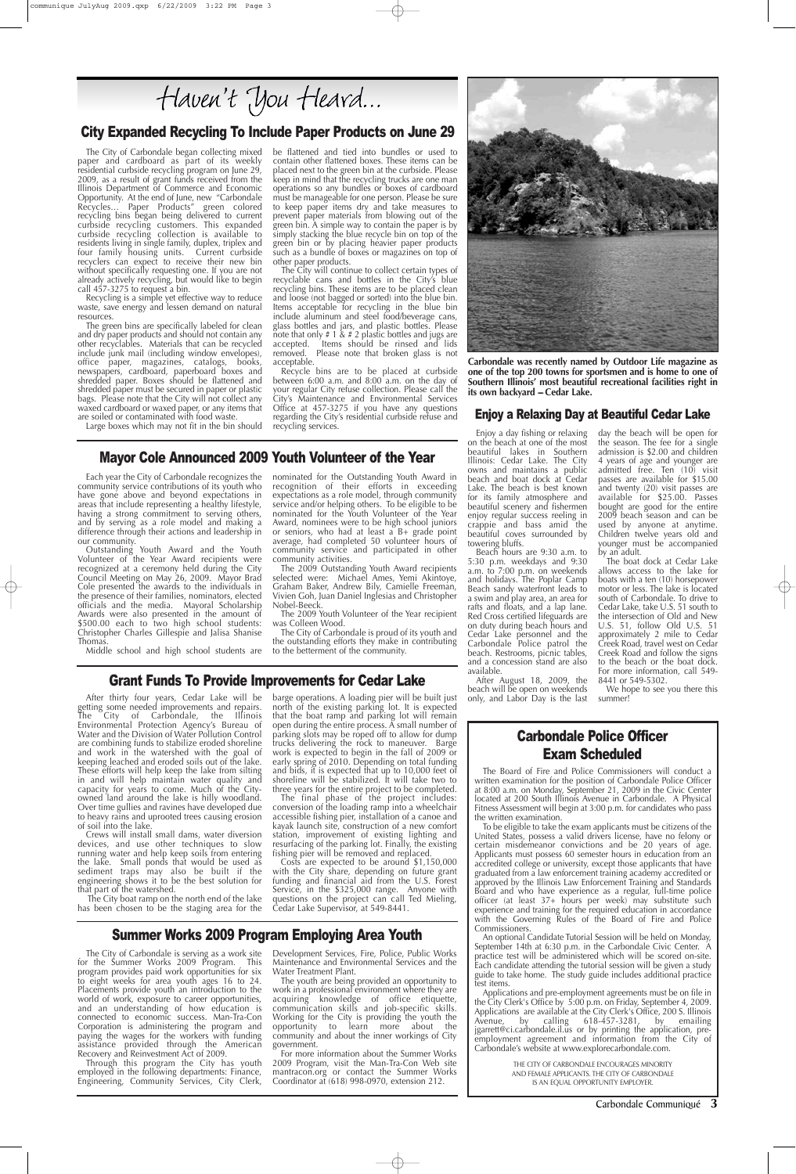Carbondale Communiqué **3**

Mayor Cole Announced 2009 Youth Volunteer of the Year Each year the City of Carbondale recognizes the community service contributions of its youth who have gone above and beyond expectations in areas that include representing a healthy lifestyle, having a strong commitment to serving others, and by serving as a role model and making a difference through their actions and leadership in our community.

Outstanding Youth Award and the Youth Volunteer of the Year Award recipients were recognized at a ceremony held during the City Council Meeting on May 26, 2009. Mayor Brad Cole presented the awards to the individuals in the presence of their families, nominators, elected officials and the media. Mayoral Scholarship Awards were also presented in the amount of \$500.00 each to two high school students: Christopher Charles Gillespie and Jalisa Shanise Thomas.

Middle school and high school students are

nominated for the Outstanding Youth Award in recognition of their efforts in exceeding expectations as a role model, through community service and/or helping others. To be eligible to be nominated for the Youth Volunteer of the Year Award, nominees were to be high school juniors or seniors, who had at least  $a$  B+ grade point average, had completed 50 volunteer hours of community service and participated in other community activities.

The City boat ramp on the north end of the lake has been chosen to be the staging area for the

The 2009 Outstanding Youth Award recipients selected were: Michael Ames, Yemi Akintoye, Graham Baker, Andrew Bily, Camielle Freeman, Vivien Goh, Juan Daniel Inglesias and Christopher Nobel-Beeck.

The 2009 Youth Volunteer of the Year recipient was Colleen Wood.

The City of Carbondale is proud of its youth and the outstanding efforts they make in contributing to the betterment of the community.

### City Expanded Recycling To Include Paper Products on June 29

The final phase of the project includes: conversion of the loading ramp into a wheelchair accessible fishing pier, installation of a canoe and kayak launch site, construction of a new comfort station, improvement of existing lighting and resurfacing of the parking lot. Finally, the existing fishing pier will be removed and replaced. Costs are expected to be around \$1,150,000 with the City share, depending on future grant funding and financial aid from the U.S. Forest Service, in the \$325,000 range. Anyone with questions on the project can call Ted Mieling, Cedar Lake Supervisor, at 549-8441.

After thirty four years, Cedar Lake will be getting some needed improvements and repairs. The City of Carbondale, the Illinois Environmental Protection Agency's Bureau of Water and the Division of Water Pollution Control are combining funds to stabilize eroded shoreline and work in the watershed with the goal of keeping leached and eroded soils out of the lake. These efforts will help keep the lake from silting in and will help maintain water quality and capacity for years to come. Much of the Cityowned land around the lake is hilly woodland. Over time gullies and ravines have developed due to heavy rains and uprooted trees causing erosion

of soil into the lake.

Crews will install small dams, water diversion devices, and use other techniques to slow running water and help keep soils from entering the lake. Small ponds that would be used as sediment traps may also be built if the engineering shows it to be the best solution for that part of the watershed.

barge operations. A loading pier will be built just north of the existing parking lot. It is expected that the boat ramp and parking lot will remain open during the entire process. A small number of parking slots may be roped off to allow for dump trucks delivering the rock to maneuver. Barge work is expected to begin in the fall of 2009 or early spring of 2010. Depending on total funding and bids, it is expected that up to 10,000 feet of shoreline will be stabilized. It will take two to three years for the entire project to be completed.

paper and cardboard as part of its weekly residential curbside recycling program on June 29, 2009, as a result of grant funds received from the Illinois Department of Commerce and Economic Opportunity. At the end of June, new "Carbondale Recycles… Paper Products" green colored recycling bins began being delivered to current curbside recycling customers. This expanded curbside recycling collection is available to residents living in single family, duplex, triplex and four family housing units. Current curbside recyclers can expect to receive their new bin without specifically requesting one. If you are not already actively recycling, but would like to begin call 457-3275 to request a bin.

> **Carbondale was recently named by Outdoor Life magazine as one of the top 200 towns for sportsmen and is home to one of Southern Illinois' most beautiful recreational facilities right in its own backyard - Cedar Lake.**

Recycling is a simple yet effective way to reduce waste, save energy and lessen demand on natural resources.

The City of Carbondale began collecting mixed be flattened and tied into bundles or used to contain other flattened boxes. These items can be placed next to the green bin at the curbside. Please placed heat to the green interest are one man operations so any bundles or boxes of cardboard must be manageable for one person. Please be sure to keep paper items dry and take measures to prevent paper materials from blowing out of the green bin. A simple way to contain the paper is by simply stacking the blue recycle bin on top of the green bin or by placing heavier paper products such as a bundle of boxes or magazines on top of other paper products.

The green bins are specifically labeled for clean and dry paper products and should not contain any other recyclables. Materials that can be recycled include junk mail (including window envelopes), office paper, magazines, catalogs, books, newspapers, cardboard, paperboard boxes and shredded paper. Boxes should be flattened and shredded paper must be secured in paper or plastic bags. Please note that the City will not collect any waxed cardboard or waxed paper, or any items that are soiled or contaminated with food waste.

### Large boxes which may not fit in the bin should

The City will continue to collect certain types of recyclable cans and bottles in the City's blue recycling bins. These items are to be placed clean and loose (not bagged or sorted) into the blue bin. Items acceptable for recycling in the blue bin include aluminum and steel food/beverage cans, glass bottles and jars, and plastic bottles. Please note that only # 1 & # 2 plastic bottles and jugs are accepted. Items should be rinsed and lids removed. Please note that broken glass is not acceptable.

Recycle bins are to be placed at curbside between 6:00 a.m. and 8:00 a.m. on the day of your regular City refuse collection. Please call the City's Maintenance and Environmental Services Office at 457-3275 if you have any questions regarding the City's residential curbside refuse and recycling services.



### Carbondale Police Officer Exam Scheduled

The Board of Fire and Police Commissioners will conduct a written examination for the position of Carbondale Police Officer at 8:00 a.m. on Monday, September 21, 2009 in the Civic Center located at 200 South Illinois Avenue in Carbondale. A Physical Fitness Assessment will begin at 3:00 p.m. for candidates who pass the written examination.

To be eligible to take the exam applicants must be citizens of the United States, possess a valid drivers license, have no felony or certain misdemeanor convictions and be 20 years of age. Applicants must possess 60 semester hours in education from an accredited college or university, except those applicants that have graduated from a law enforcement training academy accredited or approved by the Illinois Law Enforcement Training and Standards Board and who have experience as a regular, full-time police officer (at least 37+ hours per week) may substitute such experience and training for the required education in accordance with the Governing Rules of the Board of Fire and Police Commissioners.

An optional Candidate Tutorial Session will be held on Monday, September 14th at 6:30 p.m. in the Carbondale Civic Center. A practice test will be administered which will be scored on-site. Each candidate attending the tutorial session will be given a study guide to take home. The study guide includes additional practice test items.

Applications and pre-employment agreements must be on file in the City Clerk's Office by 5:00 p.m. on Friday, September 4, 2009. Applications are available at the City Clerk's Office, 200 S. Illinois Avenue, by calling 618-457-3281, by emailing jgarrett@ci.carbondale.il.us or by printing the application, preemployment agreement and information from the City of Carbondale's website at www.explorecarbondale.com.

> THE CITY OF CARBONDALE ENCOURAGES MINORITY AND FEMALE APPLICANTS. THE CITY OF CARBONDALE IS AN EQUAL OPPORTUNITY EMPLOYER.

## Grant Funds To Provide Improvements for Cedar Lake

### Enjoy a Relaxing Day at Beautiful Cedar Lake

### Enjoy a day fishing or relaxing on the beach at one of the most beautiful lakes in Southern Illinois: Cedar Lake. The City owns and maintains a public beach and boat dock at Cedar Lake. The beach is best known for its family atmosphere and beautiful scenery and fishermen enjoy regular success reeling in crappie and bass amid the beautiful coves surrounded by towering bluffs.

Beach hours are 9:30 a.m. to 5:30 p.m. weekdays and 9:30 a.m. to 7:00 p.m. on weekends and holidays. The Poplar Camp Beach sandy waterfront leads to a swim and play area, an area for rafts and floats, and a lap lane. Red Cross certified lifeguards are on duty during beach hours and Cedar Lake personnel and the Carbondale Police patrol the beach. Restrooms, picnic tables, and a concession stand are also available.

After August 18, 2009, the beach will be open on weekends only, and Labor Day is the last

day the beach will be open for the season. The fee for  $\frac{1}{4}$  single admission is \$2.00 and children 4 years of age and younger are admitted free. Ten (10) visit passes are available for \$15.00 and twenty (20) visit passes are available for \$25.00. Passes bought are good for the entire 2009 beach season and can be used by anyone at anytime. Children twelve years old and younger must be accompanied by an adult.

The boat dock at Cedar Lake allows access to the lake for boats with a ten (10) horsepower motor or less. The lake is located south of Carbondale. To drive to Cedar Lake, take U.S. 51 south to the intersection of Old and New U.S. 51, follow Old U.S. 51 approximately 2 mile to Cedar Creek Road, travel west on Cedar Creek Road and follow the signs to the beach or the boat dock. For more information, call 549- 8441 or 549-5302.

We hope to see you there this summer!

The City of Carbondale is serving as a work site for the Summer Works 2009 Program. This program provides paid work opportunities for six to eight weeks for area youth ages 16 to 24. Placements provide youth an introduction to the world of work, exposure to career opportunities, and an understanding of how education is connected to economic success. Man-Tra-Con Corporation is administering the program and paying the wages for the workers with funding assistance provided through the American Recovery and Reinvestment Act of 2009.

Through this program the City has youth employed in the following departments: Finance, Engineering, Community Services, City Clerk,

Development Services, Fire, Police, Public Works Maintenance and Environmental Services and the Water Treatment Plant.

The youth are being provided an opportunity to work in a professional environment where they are acquiring knowledge of office etiquette, communication skills and job-specific skills. Working for the City is providing the youth the opportunity to learn more about the community and about the inner workings of City government.

For more information about the Summer Works 2009 Program, visit the Man-Tra-Con Web site mantracon.org or contact the Summer Works Coordinator at (618) 998-0970, extension 212.

## Summer Works 2009 Program Employing Area Youth

# Haven't You Heard...